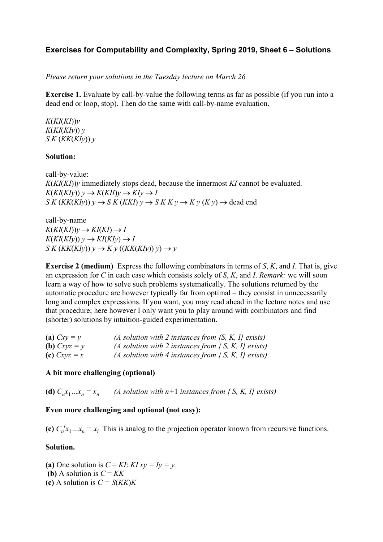# **Exercises for Computability and Complexity, Spring 2019, Sheet 6 – Solutions**

*Please return your solutions in the Tuesday lecture on March 26*

**Exercise 1.** Evaluate by call-by-value the following terms as far as possible (if you run into a dead end or loop, stop). Then do the same with call-by-name evaluation.

*K*(*KI*(*KI*))*y K*(*KI*(*KIy*)) *y S K* (*KK*(*KIy*)) *y*

## **Solution:**

call-by-value: *K*(*KI*(*KI*))*y* immediately stops dead, because the innermost *KI* cannot be evaluated.  $K(KI(KIy))$   $y \rightarrow K(KII)y \rightarrow KIy \rightarrow I$  $S K (KK(KIy)) y \rightarrow S K (KKI) y \rightarrow S K K y \rightarrow K y (K y)$   $\rightarrow$  dead end

call-by-name  $K(KI(KI))y \rightarrow KI(KI) \rightarrow I$  $K(KI(KIy))$   $y \rightarrow KI(KIy) \rightarrow I$  $S K (KK(KIy)) y \rightarrow K y ((KK(KIy)) y) \rightarrow y$ 

**Exercise 2 (medium)** Express the following combinators in terms of *S*, *K*, and *I*. That is, give an expression for *C* in each case which consists solely of *S*, *K*, and *I*. *Remark:* we will soon learn a way of how to solve such problems systematically. The solutions returned by the automatic procedure are however typically far from optimal – they consist in unnecessarily long and complex expressions. If you want, you may read ahead in the lecture notes and use that procedure; here however I only want you to play around with combinators and find (shorter) solutions by intuition-guided experimentation.

| (a) $Cxy = y$  | (A solution with 2 instances from $\{S, K, I\}$ exists) |
|----------------|---------------------------------------------------------|
| (b) $Cxyz = y$ | (A solution with 2 instances from $\{S, K, I\}$ exists) |
| (c) $Cxyz = x$ | (A solution with 4 instances from $\{S, K, I\}$ exists) |

## **A bit more challenging (optional)**

(d)  $C_n x_1 ... x_n = x_n$  *(A solution with n+1 instances from { S, K, I} exists)* 

## **Even more challenging and optional (not easy):**

(e)  $C_n^i x_1...x_n = x_i$  This is analog to the projection operator known from recursive functions.

## **Solution.**

(a) One solution is  $C = KI$ :  $KI xy = Iy = y$ . **(b)** A solution is  $C = KK$ **(c)** A solution is *C = S*(*KK*)*K*